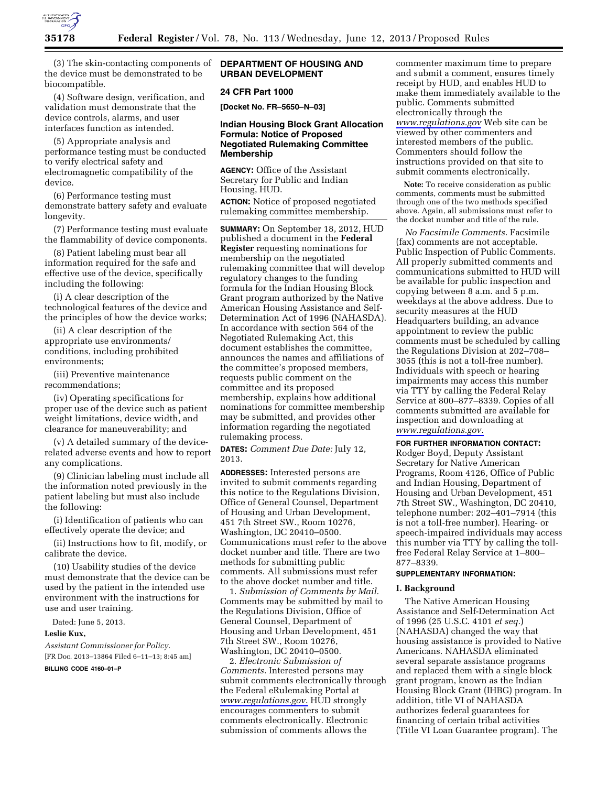

(3) The skin-contacting components of the device must be demonstrated to be biocompatible.

(4) Software design, verification, and validation must demonstrate that the device controls, alarms, and user interfaces function as intended.

(5) Appropriate analysis and performance testing must be conducted to verify electrical safety and electromagnetic compatibility of the device.

(6) Performance testing must demonstrate battery safety and evaluate longevity.

(7) Performance testing must evaluate the flammability of device components.

(8) Patient labeling must bear all information required for the safe and effective use of the device, specifically including the following:

(i) A clear description of the technological features of the device and the principles of how the device works;

(ii) A clear description of the appropriate use environments/ conditions, including prohibited environments;

(iii) Preventive maintenance recommendations;

(iv) Operating specifications for proper use of the device such as patient weight limitations, device width, and clearance for maneuverability; and

(v) A detailed summary of the devicerelated adverse events and how to report any complications.

(9) Clinician labeling must include all the information noted previously in the patient labeling but must also include the following:

(i) Identification of patients who can effectively operate the device; and

(ii) Instructions how to fit, modify, or calibrate the device.

(10) Usability studies of the device must demonstrate that the device can be used by the patient in the intended use environment with the instructions for use and user training.

Dated: June 5, 2013.

**Leslie Kux,** 

*Assistant Commissioner for Policy.*  [FR Doc. 2013–13864 Filed 6–11–13; 8:45 am] **BILLING CODE 4160–01–P** 

## **DEPARTMENT OF HOUSING AND URBAN DEVELOPMENT**

## **24 CFR Part 1000**

**[Docket No. FR–5650–N–03]** 

## **Indian Housing Block Grant Allocation Formula: Notice of Proposed Negotiated Rulemaking Committee Membership**

**AGENCY:** Office of the Assistant Secretary for Public and Indian Housing, HUD.

**ACTION:** Notice of proposed negotiated rulemaking committee membership.

**SUMMARY:** On September 18, 2012, HUD published a document in the **Federal Register** requesting nominations for membership on the negotiated rulemaking committee that will develop regulatory changes to the funding formula for the Indian Housing Block Grant program authorized by the Native American Housing Assistance and Self-Determination Act of 1996 (NAHASDA). In accordance with section 564 of the Negotiated Rulemaking Act, this document establishes the committee, announces the names and affiliations of the committee's proposed members, requests public comment on the committee and its proposed membership, explains how additional nominations for committee membership may be submitted, and provides other information regarding the negotiated rulemaking process.

**DATES:** *Comment Due Date:* July 12, 2013.

**ADDRESSES:** Interested persons are invited to submit comments regarding this notice to the Regulations Division, Office of General Counsel, Department of Housing and Urban Development, 451 7th Street SW., Room 10276, Washington, DC 20410–0500. Communications must refer to the above docket number and title. There are two methods for submitting public comments. All submissions must refer to the above docket number and title.

1. *Submission of Comments by Mail.*  Comments may be submitted by mail to the Regulations Division, Office of General Counsel, Department of Housing and Urban Development, 451 7th Street SW., Room 10276, Washington, DC 20410–0500.

2. *Electronic Submission of Comments.* Interested persons may submit comments electronically through the Federal eRulemaking Portal at *[www.regulations.gov](http://www.regulations.gov)*. HUD strongly encourages commenters to submit comments electronically. Electronic submission of comments allows the

commenter maximum time to prepare and submit a comment, ensures timely receipt by HUD, and enables HUD to make them immediately available to the public. Comments submitted electronically through the *[www.regulations.gov](http://www.regulations.gov)* Web site can be viewed by other commenters and interested members of the public. Commenters should follow the instructions provided on that site to submit comments electronically.

**Note:** To receive consideration as public comments, comments must be submitted through one of the two methods specified above. Again, all submissions must refer to the docket number and title of the rule.

*No Facsimile Comments.* Facsimile (fax) comments are not acceptable. Public Inspection of Public Comments. All properly submitted comments and communications submitted to HUD will be available for public inspection and copying between 8 a.m. and 5 p.m. weekdays at the above address. Due to security measures at the HUD Headquarters building, an advance appointment to review the public comments must be scheduled by calling the Regulations Division at 202–708– 3055 (this is not a toll-free number). Individuals with speech or hearing impairments may access this number via TTY by calling the Federal Relay Service at 800–877–8339. Copies of all comments submitted are available for inspection and downloading at *[www.regulations.gov](http://www.regulations.gov)*.

**FOR FURTHER INFORMATION CONTACT:** 

Rodger Boyd, Deputy Assistant Secretary for Native American Programs, Room 4126, Office of Public and Indian Housing, Department of Housing and Urban Development, 451 7th Street SW., Washington, DC 20410, telephone number: 202–401–7914 (this is not a toll-free number). Hearing- or speech-impaired individuals may access this number via TTY by calling the tollfree Federal Relay Service at 1–800– 877–8339.

## **SUPPLEMENTARY INFORMATION:**

#### **I. Background**

The Native American Housing Assistance and Self-Determination Act of 1996 (25 U.S.C. 4101 *et seq.*) (NAHASDA) changed the way that housing assistance is provided to Native Americans. NAHASDA eliminated several separate assistance programs and replaced them with a single block grant program, known as the Indian Housing Block Grant (IHBG) program. In addition, title VI of NAHASDA authorizes federal guarantees for financing of certain tribal activities (Title VI Loan Guarantee program). The